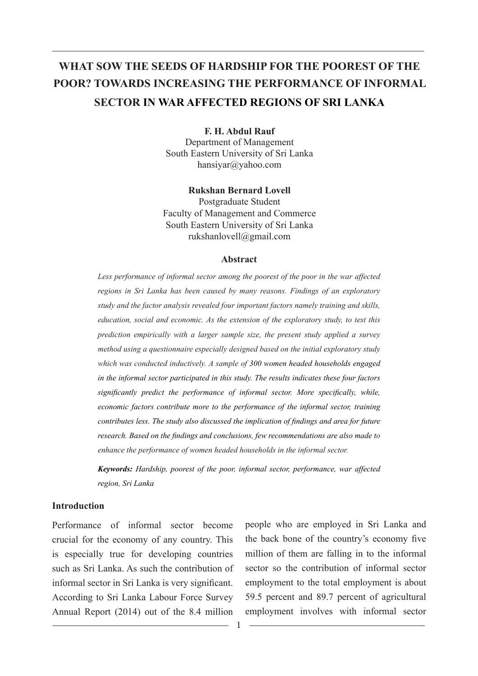# **WHAT SOW THE SEEDS OF HARDSHIP FOR THE POOREST OF THE POOR? TOWARDS INCREASING THE PERFORMANCE OF INFORMAL SECTOR IN WAR AFFECTED REGIONS OF SRI LANKA**

**F. H. Abdul Rauf** 

Department of Management South Eastern University of Sri Lanka hansiyar@yahoo.com

**Rukshan Bernard Lovell**

Postgraduate Student Faculty of Management and Commerce South Eastern University of Sri Lanka rukshanlovell@gmail.com

#### **Abstract**

*Less performance of informal sector among the poorest of the poor in the war affected regions in Sri Lanka has been caused by many reasons. Findings of an exploratory study and the factor analysis revealed four important factors namely training and skills, education, social and economic. As the extension of the exploratory study, to test this prediction empirically with a larger sample size, the present study applied a survey method using a questionnaire especially designed based on the initial exploratory study which was conducted inductively. A sample of 300 women headed households engaged in the informal sector participated in this study. The results indicates these four factors significantly predict the performance of informal sector. More specifically, while, economic factors contribute more to the performance of the informal sector, training contributes less. The study also discussed the implication of findings and area for future research. Based on the findings and conclusions, few recommendations are also made to enhance the performance of women headed households in the informal sector.* 

*Keywords: Hardship, poorest of the poor, informal sector, performance, war affected region, Sri Lanka*

#### **Introduction**

Performance of informal sector become crucial for the economy of any country. This is especially true for developing countries such as Sri Lanka. As such the contribution of informal sector in Sri Lanka is very significant. According to Sri Lanka Labour Force Survey Annual Report (2014) out of the 8.4 million

people who are employed in Sri Lanka and the back bone of the country's economy five million of them are falling in to the informal sector so the contribution of informal sector employment to the total employment is about 59.5 percent and 89.7 percent of agricultural employment involves with informal sector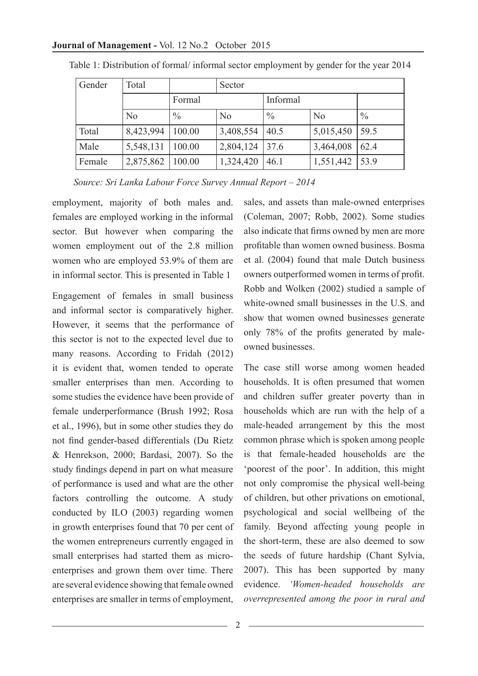| Gender | Total              |               | Sector    |               |                |               |  |  |
|--------|--------------------|---------------|-----------|---------------|----------------|---------------|--|--|
|        |                    | Formal        |           | Informal      |                |               |  |  |
|        | No                 | $\frac{0}{0}$ | No        | $\frac{0}{0}$ | N <sub>0</sub> | $\frac{0}{0}$ |  |  |
| Total  | 8,423,994   100.00 |               | 3,408,554 | 40.5          | 5,015,450      | 59.5          |  |  |
| Male   | 5,548,131          | 100.00        | 2,804,124 | 37.6          | 3,464,008      | 62.4          |  |  |
| Female | 2,875,862   100.00 |               | 1,324,420 | 46.1          | 1,551,442      | 53.9          |  |  |

Table 1: Distribution of formal/ informal sector employment by gender for the year 2014

 *Source: Sri Lanka Labour Force Survey Annual Report – 2014*

employment, majority of both males and. females are employed working in the informal sector. But however when comparing the women employment out of the 2.8 million women who are employed 53.9% of them are in informal sector. This is presented in Table 1

Engagement of females in small business and informal sector is comparatively higher. However, it seems that the performance of this sector is not to the expected level due to many reasons. According to Fridah (2012) it is evident that, women tended to operate smaller enterprises than men. According to some studies the evidence have been provide of female underperformance (Brush 1992; Rosa et al., 1996), but in some other studies they do not find gender-based differentials (Du Rietz & Henrekson, 2000; Bardasi, 2007). So the study findings depend in part on what measure of performance is used and what are the other factors controlling the outcome. A study conducted by ILO (2003) regarding women in growth enterprises found that 70 per cent of the women entrepreneurs currently engaged in small enterprises had started them as microenterprises and grown them over time. There are several evidence showing that female owned enterprises are smaller in terms of employment,

sales, and assets than male-owned enterprises (Coleman, 2007; Robb, 2002). Some studies also indicate that firms owned by men are more profitable than women owned business. Bosma et al. (2004) found that male Dutch business owners outperformed women in terms of profit. Robb and Wolken (2002) studied a sample of white-owned small businesses in the U.S. and show that women owned businesses generate only 78% of the profits generated by maleowned businesses.

The case still worse among women headed households. It is often presumed that women and children suffer greater poverty than in households which are run with the help of a male-headed arrangement by this the most common phrase which is spoken among people is that female-headed households are the 'poorest of the poor'. In addition, this might not only compromise the physical well-being of children, but other privations on emotional, psychological and social wellbeing of the family. Beyond affecting young people in the short-term, these are also deemed to sow the seeds of future hardship (Chant Sylvia, 2007). This has been supported by many evidence. *'Women-headed households are overrepresented among the poor in rural and*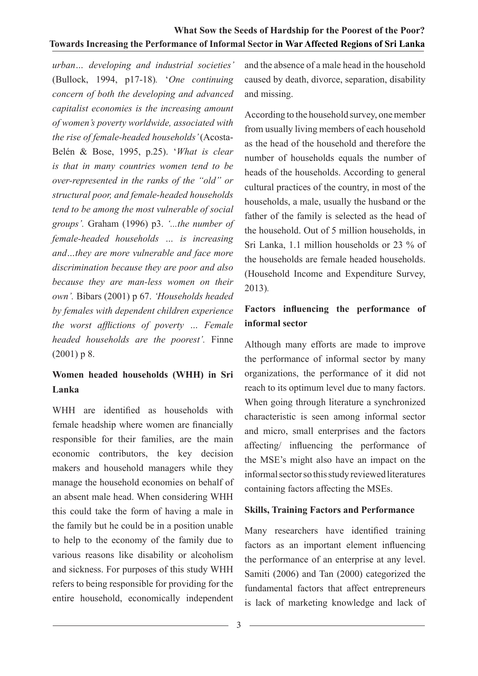*urban… developing and industrial societies'*  (Bullock, 1994, p17-18)*.* '*One continuing concern of both the developing and advanced capitalist economies is the increasing amount of women's poverty worldwide, associated with the rise of female-headed households'* (Acosta-Belén & Bose, 1995, p.25). '*What is clear is that in many countries women tend to be over-represented in the ranks of the "old" or structural poor, and female-headed households tend to be among the most vulnerable of social groups'.* Graham (1996) p3. *'...the number of female-headed households … is increasing and…they are more vulnerable and face more discrimination because they are poor and also because they are man-less women on their own'.* Bibars (2001) p 67. *'Households headed by females with dependent children experience the worst afflictions of poverty … Female headed households are the poorest'.* Finne (2001) p 8.

# **Women headed households (WHH) in Sri Lanka**

WHH are identified as households with female headship where women are financially responsible for their families, are the main economic contributors, the key decision makers and household managers while they manage the household economies on behalf of an absent male head. When considering WHH this could take the form of having a male in the family but he could be in a position unable to help to the economy of the family due to various reasons like disability or alcoholism and sickness. For purposes of this study WHH refers to being responsible for providing for the entire household, economically independent

and the absence of a male head in the household caused by death, divorce, separation, disability and missing.

According to the household survey, one member from usually living members of each household as the head of the household and therefore the number of households equals the number of heads of the households. According to general cultural practices of the country, in most of the households, a male, usually the husband or the father of the family is selected as the head of the household. Out of 5 million households, in Sri Lanka, 1.1 million households or 23 % of the households are female headed households. (Household Income and Expenditure Survey, 2013)*.*

## **Factors influencing the performance of informal sector**

Although many efforts are made to improve the performance of informal sector by many organizations, the performance of it did not reach to its optimum level due to many factors. When going through literature a synchronized characteristic is seen among informal sector and micro, small enterprises and the factors affecting/ influencing the performance of the MSE's might also have an impact on the informal sector so this study reviewed literatures containing factors affecting the MSEs.

#### **Skills, Training Factors and Performance**

Many researchers have identified training factors as an important element influencing the performance of an enterprise at any level. Samiti (2006) and Tan (2000) categorized the fundamental factors that affect entrepreneurs is lack of marketing knowledge and lack of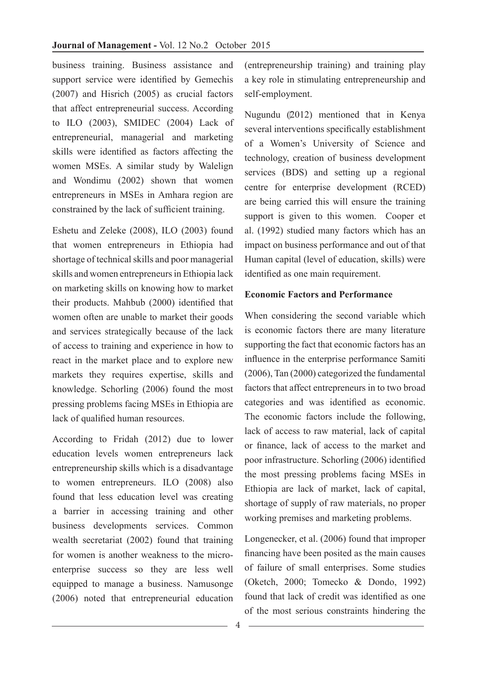business training. Business assistance and support service were identified by Gemechis (2007) and Hisrich (2005) as crucial factors that affect entrepreneurial success. According to ILO (2003), SMIDEC (2004) Lack of entrepreneurial, managerial and marketing skills were identified as factors affecting the women MSEs. A similar study by Walelign and Wondimu (2002) shown that women entrepreneurs in MSEs in Amhara region are constrained by the lack of sufficient training.

Eshetu and Zeleke (2008), ILO (2003) found that women entrepreneurs in Ethiopia had shortage of technical skills and poor managerial skills and women entrepreneurs in Ethiopia lack on marketing skills on knowing how to market their products. Mahbub (2000) identified that women often are unable to market their goods and services strategically because of the lack of access to training and experience in how to react in the market place and to explore new markets they requires expertise, skills and knowledge. Schorling (2006) found the most pressing problems facing MSEs in Ethiopia are lack of qualified human resources.

According to Fridah (2012) due to lower education levels women entrepreneurs lack entrepreneurship skills which is a disadvantage to women entrepreneurs. ILO (2008) also found that less education level was creating a barrier in accessing training and other business developments services. Common wealth secretariat (2002) found that training for women is another weakness to the microenterprise success so they are less well equipped to manage a business. Namusonge (2006) noted that entrepreneurial education (entrepreneurship training) and training play a key role in stimulating entrepreneurship and self-employment.

Nugundu (2012) mentioned that in Kenya several interventions specifically establishment of a Women's University of Science and technology, creation of business development services (BDS) and setting up a regional centre for enterprise development (RCED) are being carried this will ensure the training support is given to this women. Cooper et al. (1992) studied many factors which has an impact on business performance and out of that Human capital (level of education, skills) were identified as one main requirement.

#### **Economic Factors and Performance**

When considering the second variable which is economic factors there are many literature supporting the fact that economic factors has an influence in the enterprise performance Samiti (2006), Tan (2000) categorized the fundamental factors that affect entrepreneurs in to two broad categories and was identified as economic. The economic factors include the following, lack of access to raw material, lack of capital or finance, lack of access to the market and poor infrastructure. Schorling (2006) identified the most pressing problems facing MSEs in Ethiopia are lack of market, lack of capital, shortage of supply of raw materials, no proper working premises and marketing problems.

Longenecker, et al. (2006) found that improper financing have been posited as the main causes of failure of small enterprises. Some studies (Oketch, 2000; Tomecko & Dondo, 1992) found that lack of credit was identified as one of the most serious constraints hindering the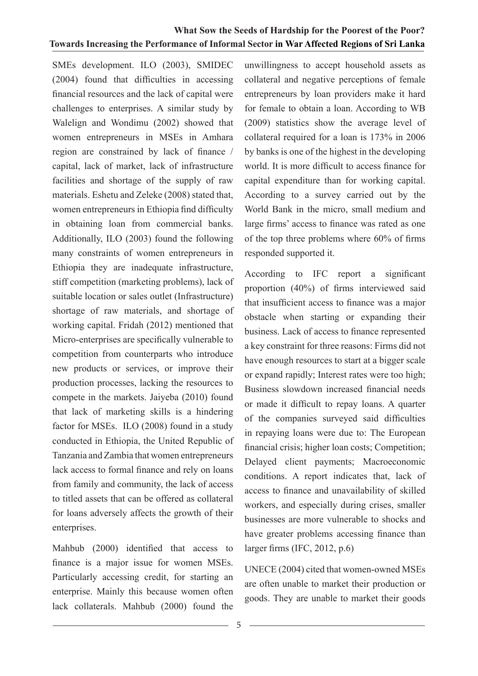SMEs development. ILO (2003), SMIDEC (2004) found that difficulties in accessing financial resources and the lack of capital were challenges to enterprises. A similar study by Walelign and Wondimu (2002) showed that women entrepreneurs in MSEs in Amhara region are constrained by lack of finance / capital, lack of market, lack of infrastructure facilities and shortage of the supply of raw materials. Eshetu and Zeleke (2008) stated that, women entrepreneurs in Ethiopia find difficulty in obtaining loan from commercial banks. Additionally, ILO (2003) found the following many constraints of women entrepreneurs in Ethiopia they are inadequate infrastructure, stiff competition (marketing problems), lack of suitable location or sales outlet (Infrastructure) shortage of raw materials, and shortage of working capital. Fridah (2012) mentioned that Micro-enterprises are specifically vulnerable to competition from counterparts who introduce new products or services, or improve their production processes, lacking the resources to compete in the markets. Jaiyeba (2010) found that lack of marketing skills is a hindering factor for MSEs. ILO (2008) found in a study conducted in Ethiopia, the United Republic of Tanzania and Zambia that women entrepreneurs lack access to formal finance and rely on loans from family and community, the lack of access to titled assets that can be offered as collateral for loans adversely affects the growth of their enterprises.

Mahbub (2000) identified that access to finance is a major issue for women MSEs. Particularly accessing credit, for starting an enterprise. Mainly this because women often lack collaterals. Mahbub (2000) found the unwillingness to accept household assets as collateral and negative perceptions of female entrepreneurs by loan providers make it hard for female to obtain a loan. According to WB (2009) statistics show the average level of collateral required for a loan is 173% in 2006 by banks is one of the highest in the developing world. It is more difficult to access finance for capital expenditure than for working capital. According to a survey carried out by the World Bank in the micro, small medium and large firms' access to finance was rated as one of the top three problems where 60% of firms responded supported it.

According to IFC report a significant proportion (40%) of firms interviewed said that insufficient access to finance was a major obstacle when starting or expanding their business. Lack of access to finance represented a key constraint for three reasons: Firms did not have enough resources to start at a bigger scale or expand rapidly; Interest rates were too high; Business slowdown increased financial needs or made it difficult to repay loans. A quarter of the companies surveyed said difficulties in repaying loans were due to: The European financial crisis; higher loan costs; Competition; Delayed client payments; Macroeconomic conditions. A report indicates that, lack of access to finance and unavailability of skilled workers, and especially during crises, smaller businesses are more vulnerable to shocks and have greater problems accessing finance than larger firms (IFC, 2012, p.6)

UNECE (2004) cited that women-owned MSEs are often unable to market their production or goods. They are unable to market their goods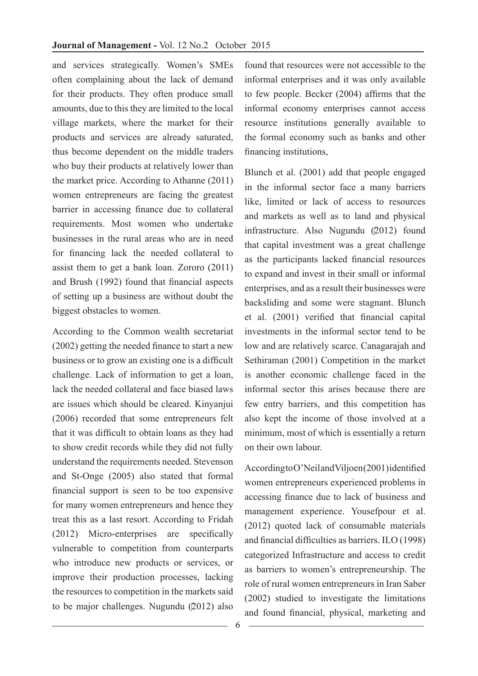and services strategically. Women's SMEs often complaining about the lack of demand for their products. They often produce small amounts, due to this they are limited to the local village markets, where the market for their products and services are already saturated, thus become dependent on the middle traders who buy their products at relatively lower than the market price. According to Athanne (2011) women entrepreneurs are facing the greatest barrier in accessing finance due to collateral requirements. Most women who undertake businesses in the rural areas who are in need for financing lack the needed collateral to assist them to get a bank loan. Zororo (2011) and Brush (1992) found that financial aspects of setting up a business are without doubt the biggest obstacles to women.

According to the Common wealth secretariat (2002) getting the needed finance to start a new business or to grow an existing one is a difficult challenge. Lack of information to get a loan, lack the needed collateral and face biased laws are issues which should be cleared. Kinyanjui (2006) recorded that some entrepreneurs felt that it was difficult to obtain loans as they had to show credit records while they did not fully understand the requirements needed. Stevenson and St-Onge (2005) also stated that formal financial support is seen to be too expensive for many women entrepreneurs and hence they treat this as a last resort. According to Fridah (2012) Micro-enterprises are specifically vulnerable to competition from counterparts who introduce new products or services, or improve their production processes, lacking the resources to competition in the markets said to be major challenges. Nugundu (2012) also

found that resources were not accessible to the informal enterprises and it was only available to few people. Becker (2004) affirms that the informal economy enterprises cannot access resource institutions generally available to the formal economy such as banks and other financing institutions,

Blunch et al. (2001) add that people engaged in the informal sector face a many barriers like, limited or lack of access to resources and markets as well as to land and physical infrastructure. Also Nugundu (2012) found that capital investment was a great challenge as the participants lacked financial resources to expand and invest in their small or informal enterprises, and as a result their businesses were backsliding and some were stagnant. Blunch et al. (2001) verified that financial capital investments in the informal sector tend to be low and are relatively scarce. Canagarajah and Sethiraman (2001) Competition in the market is another economic challenge faced in the informal sector this arises because there are few entry barriers, and this competition has also kept the income of those involved at a minimum, most of which is essentially a return on their own labour.

According to O'Neil and Viljoen (2001) identified women entrepreneurs experienced problems in accessing finance due to lack of business and management experience. Yousefpour et al. (2012) quoted lack of consumable materials and financial difficulties as barriers. ILO (1998) categorized Infrastructure and access to credit as barriers to women's entrepreneurship. The role of rural women entrepreneurs in Iran Saber (2002) studied to investigate the limitations and found financial, physical, marketing and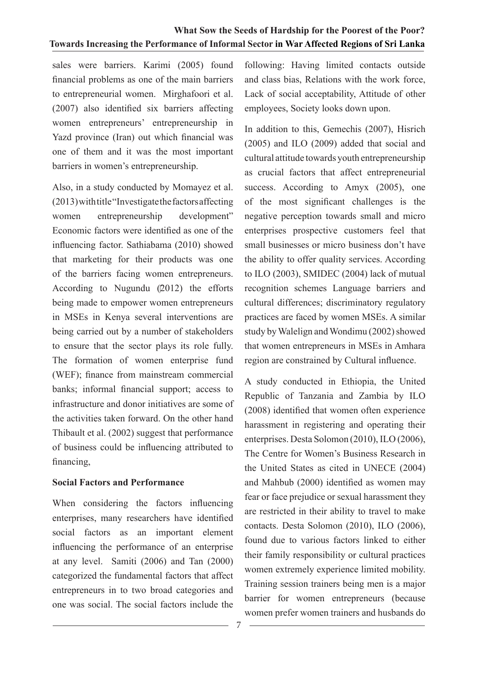sales were barriers. Karimi (2005) found financial problems as one of the main barriers to entrepreneurial women. Mirghafoori et al. (2007) also identified six barriers affecting women entrepreneurs' entrepreneurship in Yazd province (Iran) out which financial was one of them and it was the most important barriers in women's entrepreneurship.

Also, in a study conducted by Momayez et al. (2013) with title "Investigate the factors affecting women entrepreneurship development" Economic factors were identified as one of the influencing factor. Sathiabama (2010) showed that marketing for their products was one of the barriers facing women entrepreneurs. According to Nugundu (2012) the efforts being made to empower women entrepreneurs in MSEs in Kenya several interventions are being carried out by a number of stakeholders to ensure that the sector plays its role fully. The formation of women enterprise fund (WEF); finance from mainstream commercial banks; informal financial support; access to infrastructure and donor initiatives are some of the activities taken forward. On the other hand Thibault et al. (2002) suggest that performance of business could be influencing attributed to financing,

#### **Social Factors and Performance**

When considering the factors influencing enterprises, many researchers have identified social factors as an important element influencing the performance of an enterprise at any level. Samiti (2006) and Tan (2000) categorized the fundamental factors that affect entrepreneurs in to two broad categories and one was social. The social factors include the

following: Having limited contacts outside and class bias, Relations with the work force, Lack of social acceptability, Attitude of other employees, Society looks down upon.

In addition to this, Gemechis (2007), Hisrich (2005) and ILO (2009) added that social and cultural attitude towards youth entrepreneurship as crucial factors that affect entrepreneurial success. According to Amyx (2005), one of the most significant challenges is the negative perception towards small and micro enterprises prospective customers feel that small businesses or micro business don't have the ability to offer quality services. According to ILO (2003), SMIDEC (2004) lack of mutual recognition schemes Language barriers and cultural differences; discriminatory regulatory practices are faced by women MSEs. A similar study by Walelign and Wondimu (2002) showed that women entrepreneurs in MSEs in Amhara region are constrained by Cultural influence.

A study conducted in Ethiopia, the United Republic of Tanzania and Zambia by ILO (2008) identified that women often experience harassment in registering and operating their enterprises. Desta Solomon (2010), ILO (2006), The Centre for Women's Business Research in the United States as cited in UNECE (2004) and Mahbub (2000) identified as women may fear or face prejudice or sexual harassment they are restricted in their ability to travel to make contacts. Desta Solomon (2010), ILO (2006), found due to various factors linked to either their family responsibility or cultural practices women extremely experience limited mobility. Training session trainers being men is a major barrier for women entrepreneurs (because women prefer women trainers and husbands do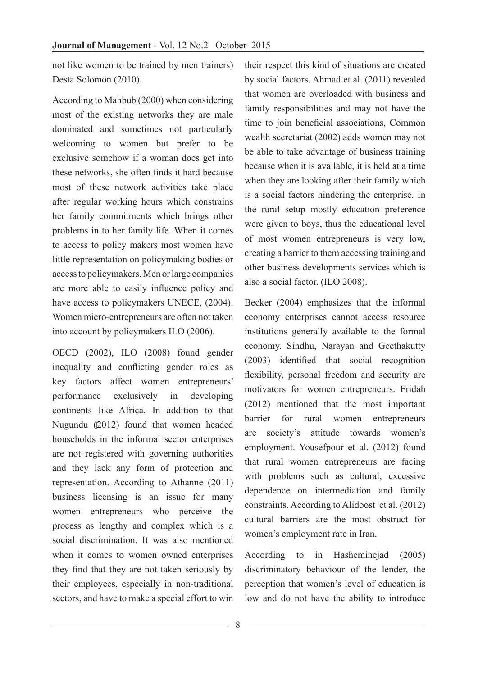not like women to be trained by men trainers) Desta Solomon (2010).

According to Mahbub (2000) when considering most of the existing networks they are male dominated and sometimes not particularly welcoming to women but prefer to be exclusive somehow if a woman does get into these networks, she often finds it hard because most of these network activities take place after regular working hours which constrains her family commitments which brings other problems in to her family life. When it comes to access to policy makers most women have little representation on policymaking bodies or access to policymakers. Men or large companies are more able to easily influence policy and have access to policymakers UNECE,  $(2004)$ . Women micro-entrepreneurs are often not taken into account by policymakers ILO (2006).

OECD (2002), ILO (2008) found gender inequality and conflicting gender roles as key factors affect women entrepreneurs' performance exclusively in developing continents like Africa. In addition to that Nugundu (2012) found that women headed households in the informal sector enterprises are not registered with governing authorities and they lack any form of protection and representation. According to Athanne (2011) business licensing is an issue for many women entrepreneurs who perceive the process as lengthy and complex which is a social discrimination. It was also mentioned when it comes to women owned enterprises they find that they are not taken seriously by their employees, especially in non-traditional sectors, and have to make a special effort to win

their respect this kind of situations are created by social factors. Ahmad et al. (2011) revealed that women are overloaded with business and family responsibilities and may not have the time to join beneficial associations, Common wealth secretariat (2002) adds women may not be able to take advantage of business training because when it is available, it is held at a time when they are looking after their family which is a social factors hindering the enterprise. In the rural setup mostly education preference were given to boys, thus the educational level of most women entrepreneurs is very low, creating a barrier to them accessing training and other business developments services which is also a social factor. (ILO 2008).

Becker (2004) emphasizes that the informal economy enterprises cannot access resource institutions generally available to the formal economy. Sindhu, Narayan and Geethakutty (2003) identified that social recognition flexibility, personal freedom and security are motivators for women entrepreneurs. Fridah (2012) mentioned that the most important barrier for rural women entrepreneurs are society's attitude towards women's employment. Yousefpour et al. (2012) found that rural women entrepreneurs are facing with problems such as cultural, excessive dependence on intermediation and family constraints. According to Alidoost et al. (2012) cultural barriers are the most obstruct for women's employment rate in Iran.

According to in Hasheminejad (2005) discriminatory behaviour of the lender, the perception that women's level of education is low and do not have the ability to introduce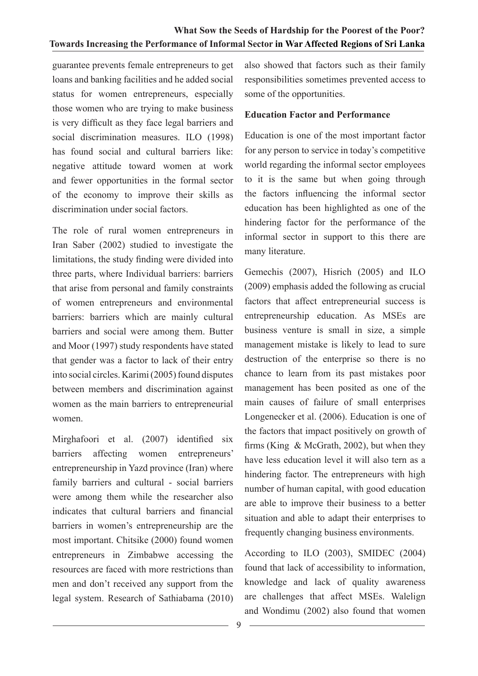guarantee prevents female entrepreneurs to get loans and banking facilities and he added social status for women entrepreneurs, especially those women who are trying to make business is very difficult as they face legal barriers and social discrimination measures. ILO (1998) has found social and cultural barriers like: negative attitude toward women at work and fewer opportunities in the formal sector of the economy to improve their skills as discrimination under social factors.

The role of rural women entrepreneurs in Iran Saber (2002) studied to investigate the limitations, the study finding were divided into three parts, where Individual barriers: barriers that arise from personal and family constraints of women entrepreneurs and environmental barriers: barriers which are mainly cultural barriers and social were among them. Butter and Moor (1997) study respondents have stated that gender was a factor to lack of their entry into social circles. Karimi (2005) found disputes between members and discrimination against women as the main barriers to entrepreneurial women.

Mirghafoori et al. (2007) identified six barriers affecting women entrepreneurs' entrepreneurship in Yazd province (Iran) where family barriers and cultural - social barriers were among them while the researcher also indicates that cultural barriers and financial barriers in women's entrepreneurship are the most important. Chitsike (2000) found women entrepreneurs in Zimbabwe accessing the resources are faced with more restrictions than men and don't received any support from the legal system. Research of Sathiabama (2010)

also showed that factors such as their family responsibilities sometimes prevented access to some of the opportunities.

#### **Education Factor and Performance**

Education is one of the most important factor for any person to service in today's competitive world regarding the informal sector employees to it is the same but when going through the factors influencing the informal sector education has been highlighted as one of the hindering factor for the performance of the informal sector in support to this there are many literature.

Gemechis (2007), Hisrich (2005) and ILO (2009) emphasis added the following as crucial factors that affect entrepreneurial success is entrepreneurship education. As MSEs are business venture is small in size, a simple management mistake is likely to lead to sure destruction of the enterprise so there is no chance to learn from its past mistakes poor management has been posited as one of the main causes of failure of small enterprises Longenecker et al. (2006). Education is one of the factors that impact positively on growth of firms (King & McGrath, 2002), but when they have less education level it will also tern as a hindering factor. The entrepreneurs with high number of human capital, with good education are able to improve their business to a better situation and able to adapt their enterprises to frequently changing business environments.

According to ILO (2003), SMIDEC (2004) found that lack of accessibility to information, knowledge and lack of quality awareness are challenges that affect MSEs. Walelign and Wondimu (2002) also found that women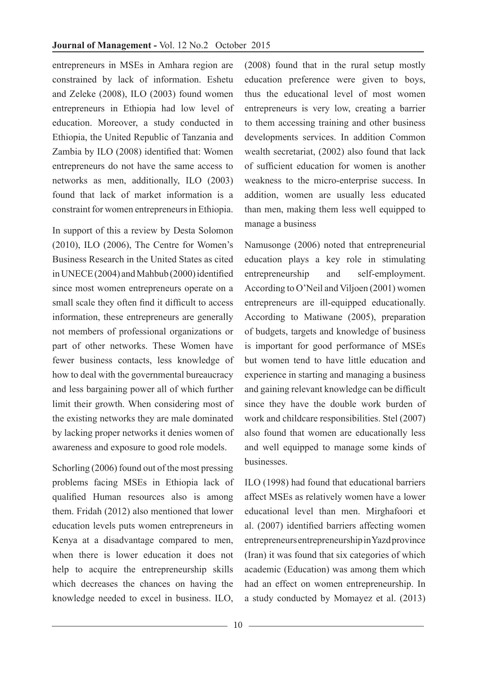entrepreneurs in MSEs in Amhara region are constrained by lack of information. Eshetu and Zeleke (2008), ILO (2003) found women entrepreneurs in Ethiopia had low level of education. Moreover, a study conducted in Ethiopia, the United Republic of Tanzania and Zambia by ILO (2008) identified that: Women entrepreneurs do not have the same access to networks as men, additionally, ILO (2003) found that lack of market information is a constraint for women entrepreneurs in Ethiopia.

In support of this a review by Desta Solomon (2010), ILO (2006), The Centre for Women's Business Research in the United States as cited in UNECE (2004) and Mahbub (2000) identified since most women entrepreneurs operate on a small scale they often find it difficult to access information, these entrepreneurs are generally not members of professional organizations or part of other networks. These Women have fewer business contacts, less knowledge of how to deal with the governmental bureaucracy and less bargaining power all of which further limit their growth. When considering most of the existing networks they are male dominated by lacking proper networks it denies women of awareness and exposure to good role models.

Schorling (2006) found out of the most pressing problems facing MSEs in Ethiopia lack of qualified Human resources also is among them. Fridah (2012) also mentioned that lower education levels puts women entrepreneurs in Kenya at a disadvantage compared to men, when there is lower education it does not help to acquire the entrepreneurship skills which decreases the chances on having the knowledge needed to excel in business. ILO,

(2008) found that in the rural setup mostly education preference were given to boys, thus the educational level of most women entrepreneurs is very low, creating a barrier to them accessing training and other business developments services. In addition Common wealth secretariat, (2002) also found that lack of sufficient education for women is another weakness to the micro-enterprise success. In addition, women are usually less educated than men, making them less well equipped to manage a business

Namusonge (2006) noted that entrepreneurial education plays a key role in stimulating entrepreneurship and self-employment. According to O'Neil and Viljoen (2001) women entrepreneurs are ill-equipped educationally. According to Matiwane (2005), preparation of budgets, targets and knowledge of business is important for good performance of MSEs but women tend to have little education and experience in starting and managing a business and gaining relevant knowledge can be difficult since they have the double work burden of work and childcare responsibilities. Stel (2007) also found that women are educationally less and well equipped to manage some kinds of businesses.

ILO (1998) had found that educational barriers affect MSEs as relatively women have a lower educational level than men. Mirghafoori et al. (2007) identified barriers affecting women entrepreneurs entrepreneurship in Yazd province (Iran) it was found that six categories of which academic (Education) was among them which had an effect on women entrepreneurship. In a study conducted by Momayez et al. (2013)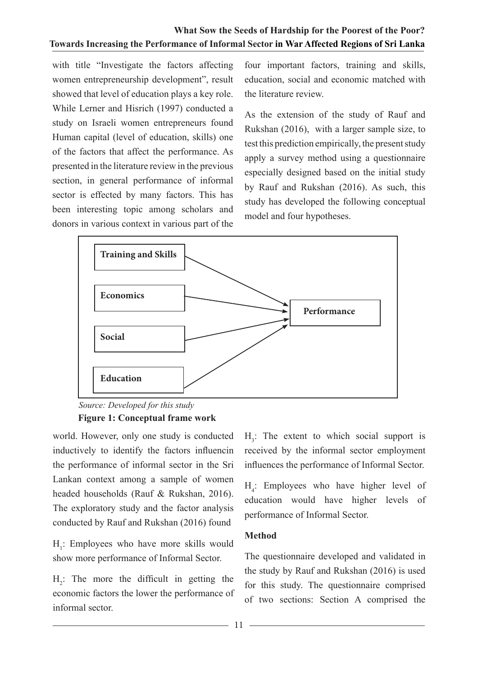with title "Investigate the factors affecting women entrepreneurship development", result showed that level of education plays a key role. While Lerner and Hisrich (1997) conducted a study on Israeli women entrepreneurs found Human capital (level of education, skills) one of the factors that affect the performance. As presented in the literature review in the previous section, in general performance of informal sector is effected by many factors. This has been interesting topic among scholars and donors in various context in various part of the

four important factors, training and skills, education, social and economic matched with the literature review.

As the extension of the study of Rauf and Rukshan (2016), with a larger sample size, to test this prediction empirically, the present study apply a survey method using a questionnaire especially designed based on the initial study by Rauf and Rukshan (2016). As such, this study has developed the following conceptual model and four hypotheses.



*Source: Developed for this study* 

### **Figure 1: Conceptual frame work**

world. However, only one study is conducted inductively to identify the factors influencin the performance of informal sector in the Sri Lankan context among a sample of women headed households (Rauf & Rukshan, 2016). The exploratory study and the factor analysis conducted by Rauf and Rukshan (2016) found

 $H_1$ : Employees who have more skills would show more performance of Informal Sector.

 $H_2$ : The more the difficult in getting the economic factors the lower the performance of informal sector.

 $H_3$ : The extent to which social support is received by the informal sector employment influences the performance of Informal Sector.

H4 : Employees who have higher level of education would have higher levels of performance of Informal Sector.

#### **Method**

The questionnaire developed and validated in the study by Rauf and Rukshan (2016) is used for this study. The questionnaire comprised of two sections: Section A comprised the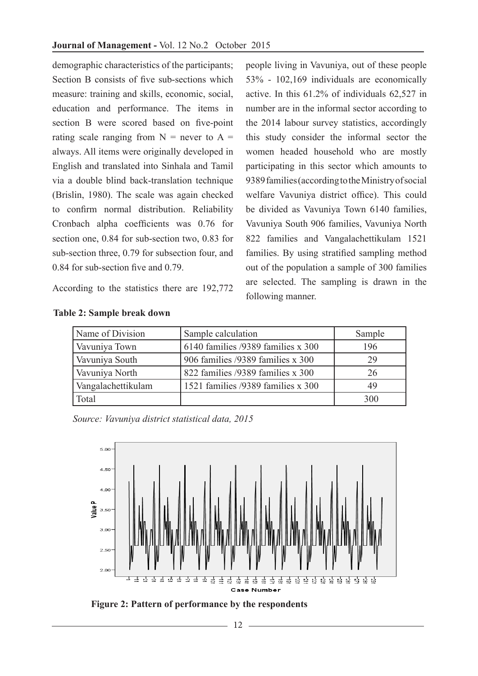demographic characteristics of the participants; Section B consists of five sub-sections which measure: training and skills, economic, social, education and performance. The items in section B were scored based on five-point rating scale ranging from  $N =$  never to  $A =$ always. All items were originally developed in English and translated into Sinhala and Tamil via a double blind back-translation technique (Brislin, 1980). The scale was again checked to confirm normal distribution. Reliability Cronbach alpha coefficients was 0.76 for section one, 0.84 for sub-section two, 0.83 for sub-section three, 0.79 for subsection four, and 0.84 for sub-section five and 0.79.

According to the statistics there are 192,772

people living in Vavuniya, out of these people 53% - 102,169 individuals are economically active. In this 61.2% of individuals 62,527 in number are in the informal sector according to the 2014 labour survey statistics, accordingly this study consider the informal sector the women headed household who are mostly participating in this sector which amounts to 9389 families (according to the Ministry of social welfare Vavuniya district office). This could be divided as Vavuniya Town 6140 families, Vavuniya South 906 families, Vavuniya North 822 families and Vangalachettikulam 1521 families. By using stratified sampling method out of the population a sample of 300 families are selected. The sampling is drawn in the following manner.

| Name of Division   | Sample calculation                 | Sample |
|--------------------|------------------------------------|--------|
| Vavuniya Town      | 6140 families /9389 families x 300 | 196    |
| Vavuniya South     | 906 families /9389 families x 300  | 29     |
| Vavuniya North     | 822 families /9389 families x 300  | 26     |
| Vangalachettikulam | 1521 families /9389 families x 300 | 49     |
| Total              |                                    | 300    |

#### **Table 2: Sample break down**

*Source: Vavuniya district statistical data, 2015*



**Figure 2: Pattern of performance by the respondents**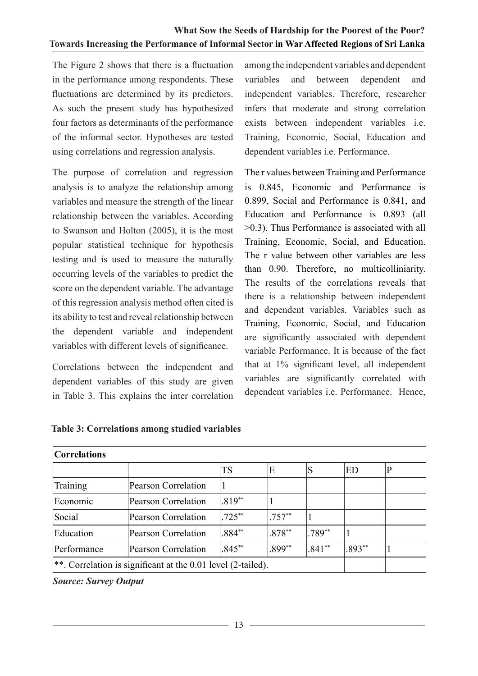The Figure 2 shows that there is a fluctuation in the performance among respondents. These fluctuations are determined by its predictors. As such the present study has hypothesized four factors as determinants of the performance of the informal sector. Hypotheses are tested using correlations and regression analysis.

The purpose of correlation and regression analysis is to analyze the relationship among variables and measure the strength of the linear relationship between the variables. According to Swanson and Holton (2005), it is the most popular statistical technique for hypothesis testing and is used to measure the naturally occurring levels of the variables to predict the score on the dependent variable. The advantage of this regression analysis method often cited is its ability to test and reveal relationship between the dependent variable and independent variables with different levels of significance.

Correlations between the independent and dependent variables of this study are given in Table 3. This explains the inter correlation

 among the independent variables and dependent variables and between dependent and independent variables. Therefore, researcher infers that moderate and strong correlation exists between independent variables i.e. Training, Economic, Social, Education and dependent variables i.e. Performance.

The r values between Training and Performance is 0.845, Economic and Performance is 0.899, Social and Performance is 0.841, and Education and Performance is 0.893 (all >0.3). Thus Performance is associated with all Training, Economic, Social, and Education. The r value between other variables are less than 0.90. Therefore, no multicolliniarity. The results of the correlations reveals that there is a relationship between independent and dependent variables. Variables such as Training, Economic, Social, and Education are significantly associated with dependent variable Performance. It is because of the fact that at 1% significant level, all independent variables are significantly correlated with dependent variables i.e. Performance. Hence,

| <b>Correlations</b>                                            |                            |           |          |          |          |  |  |  |  |
|----------------------------------------------------------------|----------------------------|-----------|----------|----------|----------|--|--|--|--|
|                                                                |                            | TS        | Έ        | S        | ED       |  |  |  |  |
| Training                                                       | Pearson Correlation        |           |          |          |          |  |  |  |  |
| Economic                                                       | Pearson Correlation        | $.819**$  |          |          |          |  |  |  |  |
| Social                                                         | <b>Pearson Correlation</b> | $.725***$ | $.757**$ |          |          |  |  |  |  |
| Education                                                      | <b>Pearson Correlation</b> | $.884**$  | $.878**$ | $.789**$ |          |  |  |  |  |
| Performance                                                    | <b>Pearson Correlation</b> | $.845**$  | $.899**$ | $.841**$ | $.893**$ |  |  |  |  |
| **. Correlation is significant at the $0.01$ level (2-tailed). |                            |           |          |          |          |  |  |  |  |

#### **Table 3: Correlations among studied variables**

*Source: Survey Output*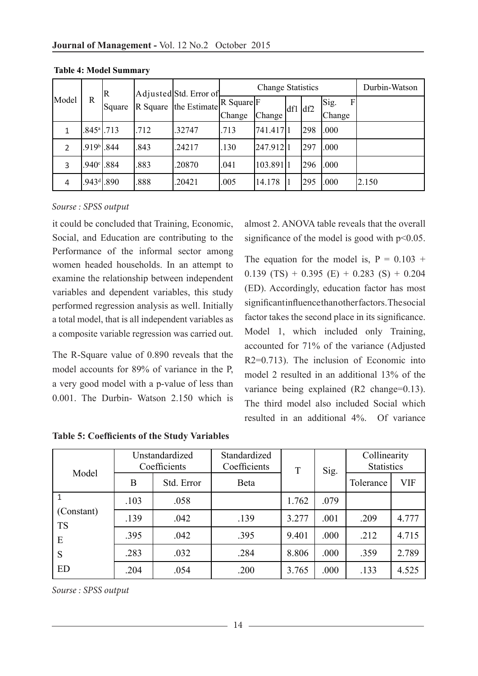|       |                             | R      |      | Adjusted Std. Error of                                                          | <b>Change Statistics</b> |          |           |     |           | Durbin-Watson |
|-------|-----------------------------|--------|------|---------------------------------------------------------------------------------|--------------------------|----------|-----------|-----|-----------|---------------|
| Model | R                           | Square |      | $\overline{R}$ Square $\left $ the Estimate $\right $ R Square $\left F\right $ |                          |          | $df1$ df2 |     | Sig.<br>F |               |
|       |                             |        |      |                                                                                 | Change                   | Change   |           |     | Change    |               |
|       | $.845$ <sup>a</sup> $1.713$ |        | .712 | .32747                                                                          | .713                     | 741.4171 |           | 298 | .000      |               |
|       | $.919b$ .844                |        | .843 | .24217                                                                          | .130                     | 247.9121 |           | 297 | .000      |               |
| 3     | .940°I.                     | .884   | .883 | .20870                                                                          | .041                     | 103.8911 |           | 296 | .000      |               |
| 4     | $.943$ <sup>d</sup> $.890$  |        | 888  | .20421                                                                          | .005                     | 14.178   |           | 295 | .000      | 2.150         |

**Table 4: Model Summary**

#### *Sourse : SPSS output*

it could be concluded that Training, Economic, Social, and Education are contributing to the Performance of the informal sector among women headed households. In an attempt to examine the relationship between independent variables and dependent variables, this study performed regression analysis as well. Initially a total model, that is all independent variables as a composite variable regression was carried out.

The R-Square value of 0.890 reveals that the model accounts for 89% of variance in the P, a very good model with a p-value of less than 0.001. The Durbin- Watson 2.150 which is almost 2. ANOVA table reveals that the overall significance of the model is good with  $p<0.05$ .

The equation for the model is,  $P = 0.103 +$ 0.139 (TS) + 0.395 (E) + 0.283 (S) + 0.204 (ED). Accordingly, education factor has most significant influence than other factors. The social factor takes the second place in its significance. Model 1, which included only Training, accounted for 71% of the variance (Adjusted R2=0.713). The inclusion of Economic into model 2 resulted in an additional 13% of the variance being explained (R2 change=0.13). The third model also included Social which resulted in an additional 4%. Of variance

| Model                        | Unstandardized<br>Coefficients |            | Standardized<br>Coefficients | T     | Sig. | Collinearity<br><b>Statistics</b> |            |
|------------------------------|--------------------------------|------------|------------------------------|-------|------|-----------------------------------|------------|
|                              | B                              | Std. Error | Beta                         |       |      | Tolerance                         | <b>VIF</b> |
| (Constant)<br><b>TS</b><br>E | .103                           | .058       |                              | 1.762 | .079 |                                   |            |
|                              | .139                           | .042       | .139                         | 3.277 | .001 | .209                              | 4.777      |
|                              | .395                           | .042       | .395                         | 9.401 | .000 | .212                              | 4.715      |
| S                            | .283                           | .032       | .284                         | 8.806 | .000 | .359                              | 2.789      |
| ED                           | .204                           | .054       | .200                         | 3.765 | .000 | .133                              | 4.525      |

**Table 5: Coefficients of the Study Variables**

*Sourse : SPSS output*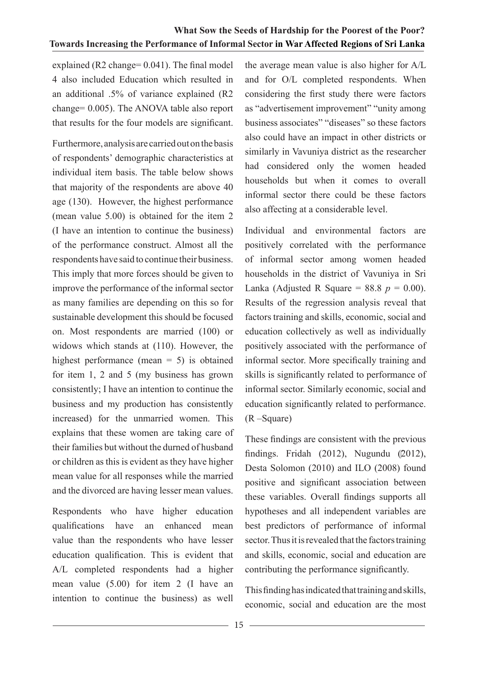explained (R2 change= 0.041). The final model 4 also included Education which resulted in an additional .5% of variance explained (R2 change= 0.005). The ANOVA table also report that results for the four models are significant.

Furthermore, analysis are carried out on the basis of respondents' demographic characteristics at individual item basis. The table below shows that majority of the respondents are above 40 age (130). However, the highest performance (mean value 5.00) is obtained for the item 2 (I have an intention to continue the business) of the performance construct. Almost all the respondents have said to continue their business. This imply that more forces should be given to improve the performance of the informal sector as many families are depending on this so for sustainable development this should be focused on. Most respondents are married (100) or widows which stands at (110). However, the highest performance (mean  $= 5$ ) is obtained for item 1, 2 and 5 (my business has grown consistently; I have an intention to continue the business and my production has consistently increased) for the unmarried women. This explains that these women are taking care of their families but without the durned of husband or children as this is evident as they have higher mean value for all responses while the married and the divorced are having lesser mean values.

Respondents who have higher education qualifications have an enhanced mean value than the respondents who have lesser education qualification. This is evident that A/L completed respondents had a higher mean value (5.00) for item 2 (I have an intention to continue the business) as well the average mean value is also higher for A/L and for O/L completed respondents. When considering the first study there were factors as "advertisement improvement" "unity among business associates" "diseases" so these factors also could have an impact in other districts or similarly in Vavuniya district as the researcher had considered only the women headed households but when it comes to overall informal sector there could be these factors also affecting at a considerable level.

Individual and environmental factors are positively correlated with the performance of informal sector among women headed households in the district of Vavuniya in Sri Lanka (Adjusted R Square =  $88.8$  *p* = 0.00). Results of the regression analysis reveal that factors training and skills, economic, social and education collectively as well as individually positively associated with the performance of informal sector. More specifically training and skills is significantly related to performance of informal sector. Similarly economic, social and education significantly related to performance. (R –Square)

These findings are consistent with the previous findings. Fridah (2012), Nugundu (2012), Desta Solomon (2010) and ILO (2008) found positive and significant association between these variables. Overall findings supports all hypotheses and all independent variables are best predictors of performance of informal sector. Thus it is revealed that the factors training and skills, economic, social and education are contributing the performance significantly.

This finding has indicated that training and skills, economic, social and education are the most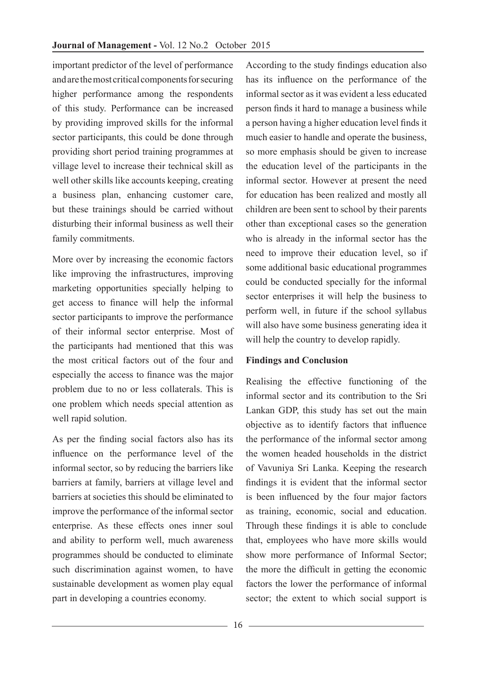important predictor of the level of performance and are the most critical components for securing higher performance among the respondents of this study. Performance can be increased by providing improved skills for the informal sector participants, this could be done through providing short period training programmes at village level to increase their technical skill as well other skills like accounts keeping, creating a business plan, enhancing customer care, but these trainings should be carried without disturbing their informal business as well their family commitments.

More over by increasing the economic factors like improving the infrastructures, improving marketing opportunities specially helping to get access to finance will help the informal sector participants to improve the performance of their informal sector enterprise. Most of the participants had mentioned that this was the most critical factors out of the four and especially the access to finance was the major problem due to no or less collaterals. This is one problem which needs special attention as well rapid solution.

As per the finding social factors also has its influence on the performance level of the informal sector, so by reducing the barriers like barriers at family, barriers at village level and barriers at societies this should be eliminated to improve the performance of the informal sector enterprise. As these effects ones inner soul and ability to perform well, much awareness programmes should be conducted to eliminate such discrimination against women, to have sustainable development as women play equal part in developing a countries economy.

According to the study findings education also has its influence on the performance of the informal sector as it was evident a less educated person finds it hard to manage a business while a person having a higher education level finds it much easier to handle and operate the business, so more emphasis should be given to increase the education level of the participants in the informal sector. However at present the need for education has been realized and mostly all children are been sent to school by their parents other than exceptional cases so the generation who is already in the informal sector has the need to improve their education level, so if some additional basic educational programmes could be conducted specially for the informal sector enterprises it will help the business to perform well, in future if the school syllabus will also have some business generating idea it will help the country to develop rapidly.

#### **Findings and Conclusion**

Realising the effective functioning of the informal sector and its contribution to the Sri Lankan GDP, this study has set out the main objective as to identify factors that influence the performance of the informal sector among the women headed households in the district of Vavuniya Sri Lanka. Keeping the research findings it is evident that the informal sector is been influenced by the four major factors as training, economic, social and education. Through these findings it is able to conclude that, employees who have more skills would show more performance of Informal Sector; the more the difficult in getting the economic factors the lower the performance of informal sector; the extent to which social support is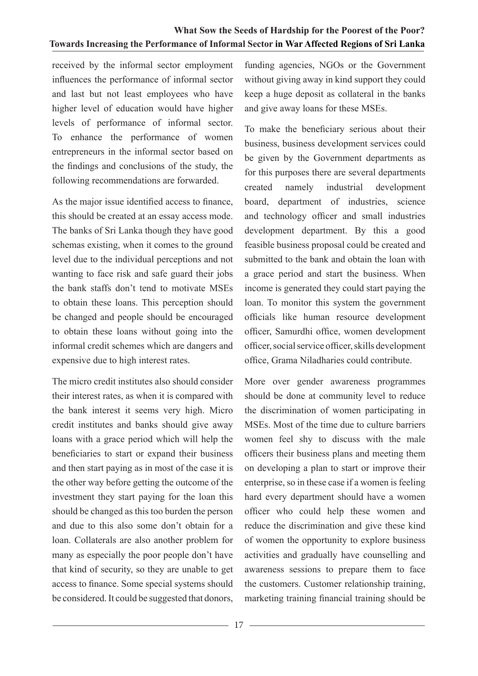received by the informal sector employment influences the performance of informal sector and last but not least employees who have higher level of education would have higher levels of performance of informal sector. To enhance the performance of women entrepreneurs in the informal sector based on the findings and conclusions of the study, the following recommendations are forwarded.

As the major issue identified access to finance, this should be created at an essay access mode. The banks of Sri Lanka though they have good schemas existing, when it comes to the ground level due to the individual perceptions and not wanting to face risk and safe guard their jobs the bank staffs don't tend to motivate MSEs to obtain these loans. This perception should be changed and people should be encouraged to obtain these loans without going into the informal credit schemes which are dangers and expensive due to high interest rates.

The micro credit institutes also should consider their interest rates, as when it is compared with the bank interest it seems very high. Micro credit institutes and banks should give away loans with a grace period which will help the beneficiaries to start or expand their business and then start paying as in most of the case it is the other way before getting the outcome of the investment they start paying for the loan this should be changed as this too burden the person and due to this also some don't obtain for a loan. Collaterals are also another problem for many as especially the poor people don't have that kind of security, so they are unable to get access to finance. Some special systems should be considered. It could be suggested that donors,

funding agencies, NGOs or the Government without giving away in kind support they could keep a huge deposit as collateral in the banks and give away loans for these MSEs.

To make the beneficiary serious about their business, business development services could be given by the Government departments as for this purposes there are several departments created namely industrial development board, department of industries, science and technology officer and small industries development department. By this a good feasible business proposal could be created and submitted to the bank and obtain the loan with a grace period and start the business. When income is generated they could start paying the loan. To monitor this system the government officials like human resource development officer, Samurdhi office, women development officer, social service officer, skills development office, Grama Niladharies could contribute.

More over gender awareness programmes should be done at community level to reduce the discrimination of women participating in MSEs. Most of the time due to culture barriers women feel shy to discuss with the male officers their business plans and meeting them on developing a plan to start or improve their enterprise, so in these case if a women is feeling hard every department should have a women officer who could help these women and reduce the discrimination and give these kind of women the opportunity to explore business activities and gradually have counselling and awareness sessions to prepare them to face the customers. Customer relationship training, marketing training financial training should be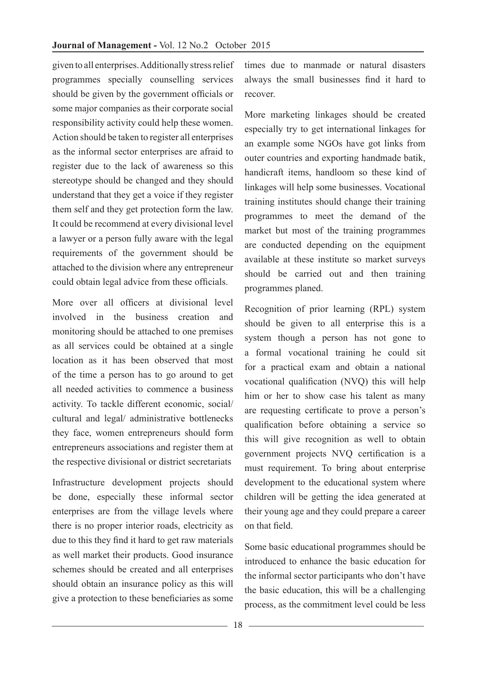given to all enterprises. Additionally stress relief programmes specially counselling services should be given by the government officials or some major companies as their corporate social responsibility activity could help these women. Action should be taken to register all enterprises as the informal sector enterprises are afraid to register due to the lack of awareness so this stereotype should be changed and they should understand that they get a voice if they register them self and they get protection form the law. It could be recommend at every divisional level a lawyer or a person fully aware with the legal requirements of the government should be attached to the division where any entrepreneur could obtain legal advice from these officials.

More over all officers at divisional level involved in the business creation and monitoring should be attached to one premises as all services could be obtained at a single location as it has been observed that most of the time a person has to go around to get all needed activities to commence a business activity. To tackle different economic, social/ cultural and legal/ administrative bottlenecks they face, women entrepreneurs should form entrepreneurs associations and register them at the respective divisional or district secretariats

Infrastructure development projects should be done, especially these informal sector enterprises are from the village levels where there is no proper interior roads, electricity as due to this they find it hard to get raw materials as well market their products. Good insurance schemes should be created and all enterprises should obtain an insurance policy as this will give a protection to these beneficiaries as some times due to manmade or natural disasters always the small businesses find it hard to recover.

More marketing linkages should be created especially try to get international linkages for an example some NGOs have got links from outer countries and exporting handmade batik, handicraft items, handloom so these kind of linkages will help some businesses. Vocational training institutes should change their training programmes to meet the demand of the market but most of the training programmes are conducted depending on the equipment available at these institute so market surveys should be carried out and then training programmes planed.

Recognition of prior learning (RPL) system should be given to all enterprise this is a system though a person has not gone to a formal vocational training he could sit for a practical exam and obtain a national vocational qualification (NVQ) this will help him or her to show case his talent as many are requesting certificate to prove a person's qualification before obtaining a service so this will give recognition as well to obtain government projects NVQ certification is a must requirement. To bring about enterprise development to the educational system where children will be getting the idea generated at their young age and they could prepare a career on that field.

Some basic educational programmes should be introduced to enhance the basic education for the informal sector participants who don't have the basic education, this will be a challenging process, as the commitment level could be less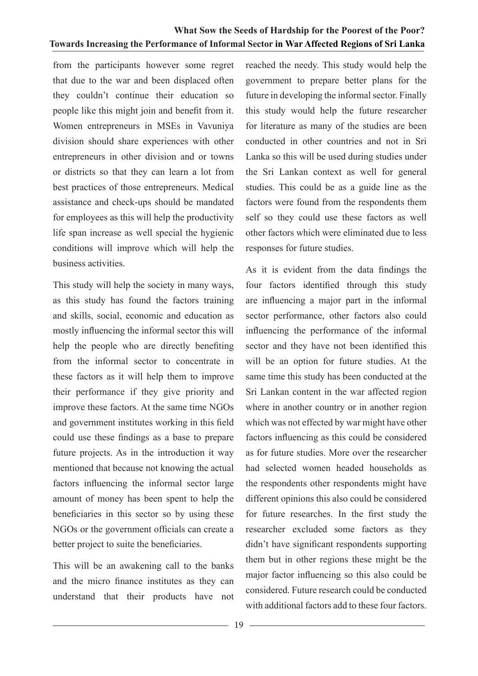from the participants however some regret that due to the war and been displaced often they couldn't continue their education so people like this might join and benefit from it. Women entrepreneurs in MSEs in Vavuniya division should share experiences with other entrepreneurs in other division and or towns or districts so that they can learn a lot from best practices of those entrepreneurs. Medical assistance and check-ups should be mandated for employees as this will help the productivity life span increase as well special the hygienic conditions will improve which will help the business activities.

This study will help the society in many ways, as this study has found the factors training and skills, social, economic and education as mostly influencing the informal sector this will help the people who are directly benefiting from the informal sector to concentrate in these factors as it will help them to improve their performance if they give priority and improve these factors. At the same time NGOs and government institutes working in this field could use these findings as a base to prepare future projects. As in the introduction it way mentioned that because not knowing the actual factors influencing the informal sector large amount of money has been spent to help the beneficiaries in this sector so by using these NGOs or the government officials can create a better project to suite the beneficiaries.

This will be an awakening call to the banks and the micro finance institutes as they can understand that their products have not reached the needy. This study would help the government to prepare better plans for the future in developing the informal sector. Finally this study would help the future researcher for literature as many of the studies are been conducted in other countries and not in Sri Lanka so this will be used during studies under the Sri Lankan context as well for general studies. This could be as a guide line as the factors were found from the respondents them self so they could use these factors as well other factors which were eliminated due to less responses for future studies.

As it is evident from the data findings the four factors identified through this study are influencing a major part in the informal sector performance, other factors also could influencing the performance of the informal sector and they have not been identified this will be an option for future studies. At the same time this study has been conducted at the Sri Lankan content in the war affected region where in another country or in another region which was not effected by war might have other factors influencing as this could be considered as for future studies. More over the researcher had selected women headed households as the respondents other respondents might have different opinions this also could be considered for future researches. In the first study the researcher excluded some factors as they didn't have significant respondents supporting them but in other regions these might be the major factor influencing so this also could be considered. Future research could be conducted with additional factors add to these four factors.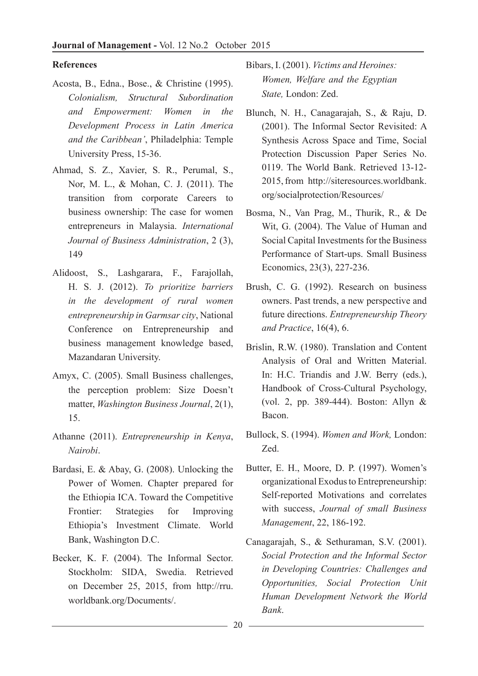#### **References**

- Acosta, B., Edna., Bose., & Christine (1995). *Colonialism, Structural Subordination and Empowerment: Women in the Development Process in Latin America and the Caribbean'*, Philadelphia: Temple University Press, 15-36.
- Ahmad, S. Z., Xavier, S. R., Perumal, S., Nor, M. L., & Mohan, C. J. (2011). The transition from corporate Careers to business ownership: The case for women entrepreneurs in Malaysia. *International Journal of Business Administration*, 2 (3), 149
- Alidoost, S., Lashgarara, F., Farajollah, H. S. J. (2012). *To prioritize barriers in the development of rural women entrepreneurship in Garmsar city*, National Conference on Entrepreneurship and business management knowledge based, Mazandaran University.
- Amyx, C. (2005). Small Business challenges, the perception problem: Size Doesn't matter, *Washington Business Journal*, 2(1), 15.
- Athanne (2011). *Entrepreneurship in Kenya*, *Nairobi*.
- Bardasi, E. & Abay, G. (2008). Unlocking the Power of Women. Chapter prepared for the Ethiopia ICA. Toward the Competitive Frontier: Strategies for Improving Ethiopia's Investment Climate. World Bank, Washington D.C.
- Becker, K. F. (2004). The Informal Sector. Stockholm: SIDA, Swedia. Retrieved on December 25, 2015, from http://rru. worldbank.org/Documents/.
- Bibars, I. (2001). *Victims and Heroines: Women, Welfare and the Egyptian State,* London: Zed.
- Blunch, N. H., Canagarajah, S., & Raju, D. (2001). The Informal Sector Revisited: A Synthesis Across Space and Time, Social Protection Discussion Paper Series No. 0119. The World Bank. Retrieved 13-12- 2015, from http://siteresources.worldbank. org/socialprotection/Resources/
- Bosma, N., Van Prag, M., Thurik, R., & De Wit, G. (2004). The Value of Human and Social Capital Investments for the Business Performance of Start-ups. Small Business Economics, 23(3), 227-236.
- Brush, C. G. (1992). Research on business owners. Past trends, a new perspective and future directions. *Entrepreneurship Theory and Practice*, 16(4), 6.
- Brislin, R.W. (1980). Translation and Content Analysis of Oral and Written Material. In: H.C. Triandis and J.W. Berry (eds.), Handbook of Cross-Cultural Psychology, (vol. 2, pp. 389-444). Boston: Allyn & Bacon.
- Bullock, S. (1994). *Women and Work,* London: Zed.
- Butter, E. H., Moore, D. P. (1997). Women's organizational Exodus to Entrepreneurship: Self-reported Motivations and correlates with success, *Journal of small Business Management*, 22, 186-192.
- Canagarajah, S., & Sethuraman, S.V. (2001). *Social Protection and the Informal Sector in Developing Countries: Challenges and Opportunities, Social Protection Unit Human Development Network the World Bank*.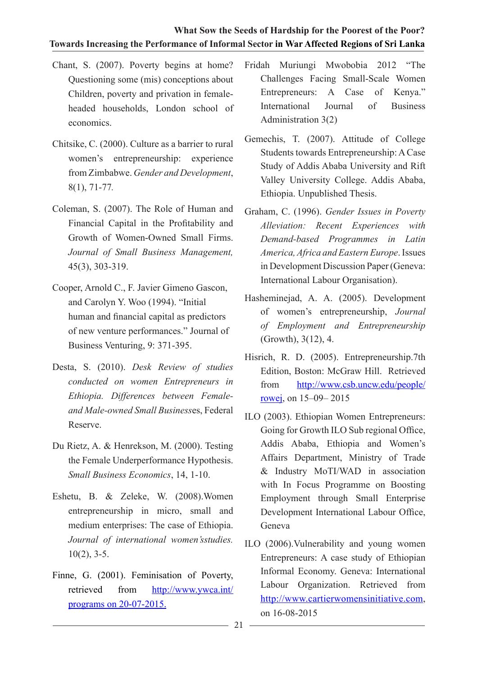- Chant, S. (2007). Poverty begins at home? Questioning some (mis) conceptions about Children, poverty and privation in femaleheaded households, London school of economics.
- Chitsike, C. (2000). Culture as a barrier to rural women's entrepreneurship: experience from Zimbabwe. *Gender and Development*, 8(1), 71-77*.*
- Coleman, S. (2007). The Role of Human and Financial Capital in the Profitability and Growth of Women-Owned Small Firms. *Journal of Small Business Management,*  45(3), 303-319.
- Cooper, Arnold C., F. Javier Gimeno Gascon, and Carolyn Y. Woo (1994). "Initial human and financial capital as predictors of new venture performances." Journal of Business Venturing, 9: 371-395.
- Desta, S. (2010). *Desk Review of studies conducted on women Entrepreneurs in Ethiopia. Differences between Femaleand Male-owned Small Business*es, Federal Reserve.
- Du Rietz, A. & Henrekson, M. (2000). Testing the Female Underperformance Hypothesis. *Small Business Economics*, 14, 1-10.
- Eshetu, B. & Zeleke, W. (2008).Women entrepreneurship in micro, small and medium enterprises: The case of Ethiopia. *Journal of international women'sstudies.*  $10(2)$ , 3-5.
- Finne, G. (2001). Feminisation of Poverty, retrieved from http://www.ywca.int/ programs on 20-07-2015.
- Fridah Muriungi Mwobobia 2012 "The Challenges Facing Small-Scale Women Entrepreneurs: A Case of Kenya." International Journal of Business Administration 3(2)
- Gemechis, T. (2007). Attitude of College Students towards Entrepreneurship: A Case Study of Addis Ababa University and Rift Valley University College. Addis Ababa, Ethiopia. Unpublished Thesis.
- Graham, C. (1996). *Gender Issues in Poverty Alleviation: Recent Experiences with Demand-based Programmes in Latin America, Africa and Eastern Europe*. Issues in Development Discussion Paper (Geneva: International Labour Organisation).
- Hasheminejad, A. A. (2005). Development of women's entrepreneurship, *Journal of Employment and Entrepreneurship* (Growth), 3(12), 4.
- Hisrich, R. D. (2005). Entrepreneurship.7th Edition, Boston: McGraw Hill. Retrieved from http://www.csb.uncw.edu/people/ rowej, on 15–09– 2015
- ILO (2003). Ethiopian Women Entrepreneurs: Going for Growth ILO Sub regional Office, Addis Ababa, Ethiopia and Women's Affairs Department, Ministry of Trade & Industry MoTI/WAD in association with In Focus Programme on Boosting Employment through Small Enterprise Development International Labour Office, Geneva
- ILO (2006).Vulnerability and young women Entrepreneurs: A case study of Ethiopian Informal Economy. Geneva: International Labour Organization. Retrieved from http://www.cartierwomensinitiative.com, on 16-08-2015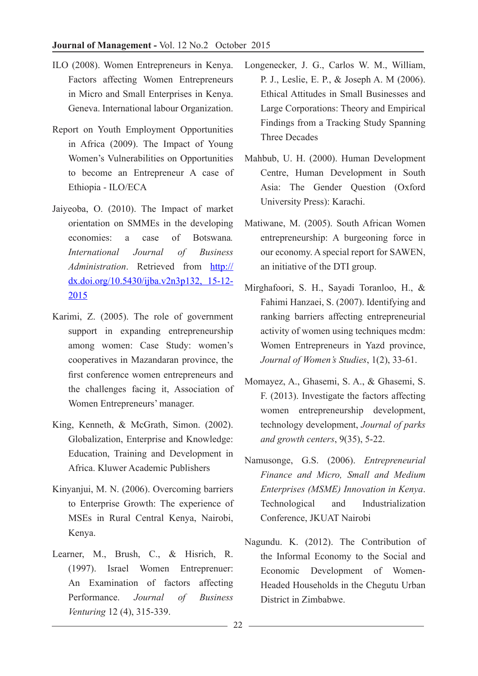- ILO (2008). Women Entrepreneurs in Kenya. Factors affecting Women Entrepreneurs in Micro and Small Enterprises in Kenya. Geneva. International labour Organization.
- Report on Youth Employment Opportunities in Africa (2009). The Impact of Young Women's Vulnerabilities on Opportunities to become an Entrepreneur A case of Ethiopia - ILO/ECA
- Jaiyeoba, O. (2010). The Impact of market orientation on SMMEs in the developing economies: a case of Botswana*. International Journal of Business Administration*. Retrieved from http:// dx.doi.org/10.5430/ijba.v2n3p132, 15-12- 2015
- Karimi, Z. (2005). The role of government support in expanding entrepreneurship among women: Case Study: women's cooperatives in Mazandaran province, the first conference women entrepreneurs and the challenges facing it, Association of Women Entrepreneurs' manager.
- King, Kenneth, & McGrath, Simon. (2002). Globalization, Enterprise and Knowledge: Education, Training and Development in Africa. Kluwer Academic Publishers
- Kinyanjui, M. N. (2006). Overcoming barriers to Enterprise Growth: The experience of MSEs in Rural Central Kenya, Nairobi, Kenya.
- Learner, M., Brush, C., & Hisrich, R. (1997). Israel Women Entreprenuer: An Examination of factors affecting Performance. *Journal of Business Venturing* 12 (4), 315-339.
- Longenecker, J. G., Carlos W. M., William, P. J., Leslie, E. P., & Joseph A. M (2006). Ethical Attitudes in Small Businesses and Large Corporations: Theory and Empirical Findings from a Tracking Study Spanning Three Decades
- Mahbub, U. H. (2000). Human Development Centre, Human Development in South Asia: The Gender Question (Oxford University Press): Karachi.
- Matiwane, M. (2005). South African Women entrepreneurship: A burgeoning force in our economy. A special report for SAWEN, an initiative of the DTI group.
- Mirghafoori, S. H., Sayadi Toranloo, H., & Fahimi Hanzaei, S. (2007). Identifying and ranking barriers affecting entrepreneurial activity of women using techniques mcdm: Women Entrepreneurs in Yazd province, *Journal of Women's Studies*, 1(2), 33-61.
- Momayez, A., Ghasemi, S. A., & Ghasemi, S. F. (2013). Investigate the factors affecting women entrepreneurship development, technology development, *Journal of parks and growth centers*, 9(35), 5-22.
- Namusonge, G.S. (2006). *Entrepreneurial Finance and Micro, Small and Medium Enterprises (MSME) Innovation in Kenya*. Technological and Industrialization Conference, JKUAT Nairobi
- Nagundu. K. (2012). The Contribution of the Informal Economy to the Social and Economic Development of Women-Headed Households in the Chegutu Urban District in Zimbabwe.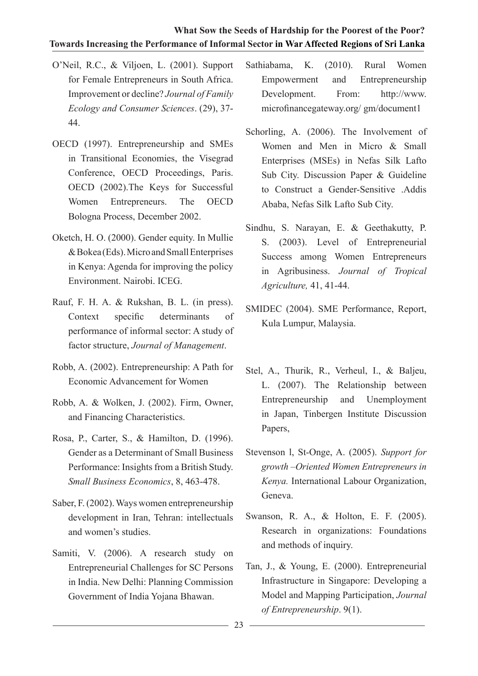- O'Neil, R.C., & Viljoen, L. (2001). Support for Female Entrepreneurs in South Africa. Improvement or decline? *Journal of Family Ecology and Consumer Sciences*. (29), 37- 44.
- OECD (1997). Entrepreneurship and SMEs in Transitional Economies, the Visegrad Conference, OECD Proceedings, Paris. OECD (2002).The Keys for Successful Women Entrepreneurs. The OECD Bologna Process, December 2002.
- Oketch, H. O. (2000). Gender equity. In Mullie & Bokea (Eds). Micro and Small Enterprises in Kenya: Agenda for improving the policy Environment. Nairobi. ICEG.
- Rauf, F. H. A. & Rukshan, B. L. (in press). Context specific determinants of performance of informal sector: A study of factor structure, *Journal of Management*.
- Robb, A. (2002). Entrepreneurship: A Path for Economic Advancement for Women
- Robb, A. & Wolken, J. (2002). Firm, Owner, and Financing Characteristics.
- Rosa, P., Carter, S., & Hamilton, D. (1996). Gender as a Determinant of Small Business Performance: Insights from a British Study. *Small Business Economics*, 8, 463-478.
- Saber, F. (2002). Ways women entrepreneurship development in Iran, Tehran: intellectuals and women's studies.
- Samiti, V. (2006). A research study on Entrepreneurial Challenges for SC Persons in India. New Delhi: Planning Commission Government of India Yojana Bhawan.
- Sathiabama, K. (2010). Rural Women Empowerment and Entrepreneurship Development. From: http://www. microfinancegateway.org/ gm/document1
- Schorling, A. (2006). The Involvement of Women and Men in Micro & Small Enterprises (MSEs) in Nefas Silk Lafto Sub City. Discussion Paper & Guideline to Construct a Gender-Sensitive .Addis Ababa, Nefas Silk Lafto Sub City.
- Sindhu, S. Narayan, E. & Geethakutty, P. S. (2003). Level of Entrepreneurial Success among Women Entrepreneurs in Agribusiness. *Journal of Tropical Agriculture,* 41, 41-44.
- SMIDEC (2004). SME Performance, Report, Kula Lumpur, Malaysia.
- Stel, A., Thurik, R., Verheul, I., & Baljeu, L. (2007). The Relationship between Entrepreneurship and Unemployment in Japan, Tinbergen Institute Discussion Papers,
- Stevenson l, St-Onge, A. (2005). *Support for growth –Oriented Women Entrepreneurs in Kenya.* International Labour Organization, Geneva.
- Swanson, R. A., & Holton, E. F. (2005). Research in organizations: Foundations and methods of inquiry.
- Tan, J., & Young, E. (2000). Entrepreneurial Infrastructure in Singapore: Developing a Model and Mapping Participation, *Journal of Entrepreneurship*. 9(1).